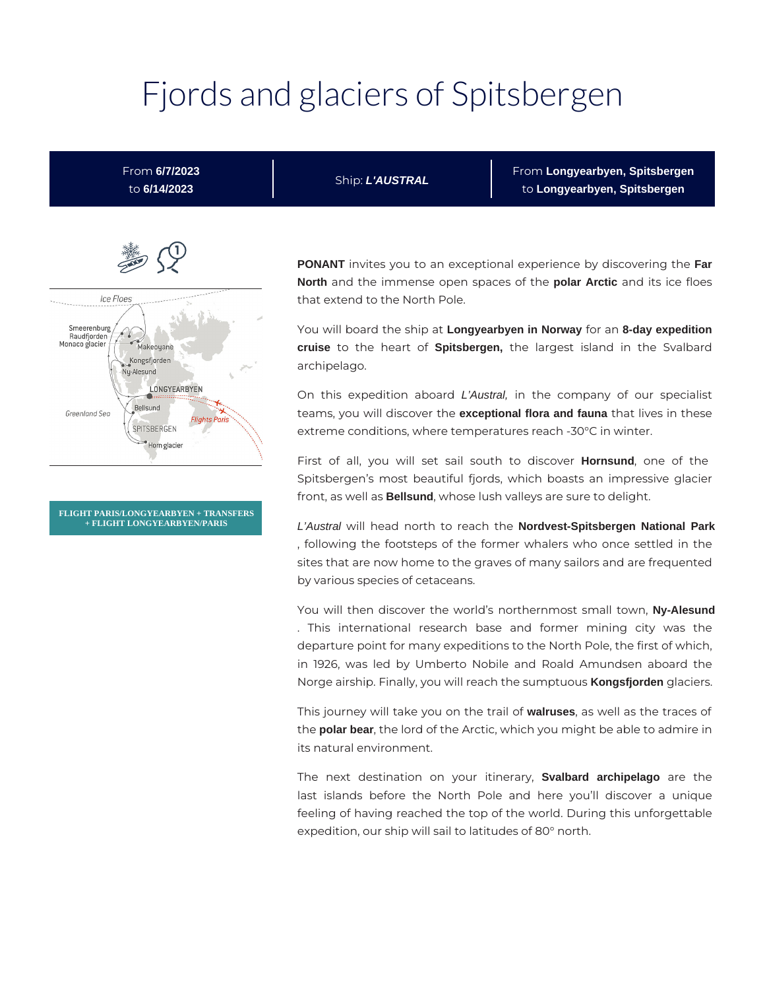# Fjords and glaciers of Spitsbergen

From **6/7/2023** to **6/14/2023**

Ship: **L'AUSTRAL**

From **Longyearbyen, Spitsbergen** to **Longyearbyen, Spitsbergen**



**FLIGHT PARIS/LONGYEARBYEN + TRANSFERS + FLIGHT LONGYEARBYEN/PARIS**

**PONANT** invites you to an exceptional experience by discovering the **Far North** and the immense open spaces of the **polar Arctic** and its ice floes that extend to the North Pole.

You will board the ship at **Longyearbyen in Norway** for an **8-day expedition cruise** to the heart of **Spitsbergen,** the largest island in the Svalbard archipelago.

On this expedition aboard L'Austral, in the company of our specialist teams, you will discover the **exceptional flora and fauna** that lives in these extreme conditions, where temperatures reach -30°C in winter.

First of all, you will set sail south to discover **Hornsund**, one of the Spitsbergen's most beautiful fjords, which boasts an impressive glacier front, as well as **Bellsund**, whose lush valleys are sure to delight.

L'Austral will head north to reach the **Nordvest-Spitsbergen National Park** , following the footsteps of the former whalers who once settled in the sites that are now home to the graves of many sailors and are frequented by various species of cetaceans.

You will then discover the world's northernmost small town, **Ny-Alesund** . This international research base and former mining city was the departure point for many expeditions to the North Pole, the first of which, in 1926, was led by Umberto Nobile and Roald Amundsen aboard the Norge airship. Finally, you will reach the sumptuous **Kongsfjorden** glaciers.

This journey will take you on the trail of **walruses**, as well as the traces of the **polar bear**, the lord of the Arctic, which you might be able to admire in its natural environment.

The next destination on your itinerary, **Svalbard archipelago** are the last islands before the North Pole and here you'll discover a unique feeling of having reached the top of the world. During this unforgettable expedition, our ship will sail to latitudes of 80° north.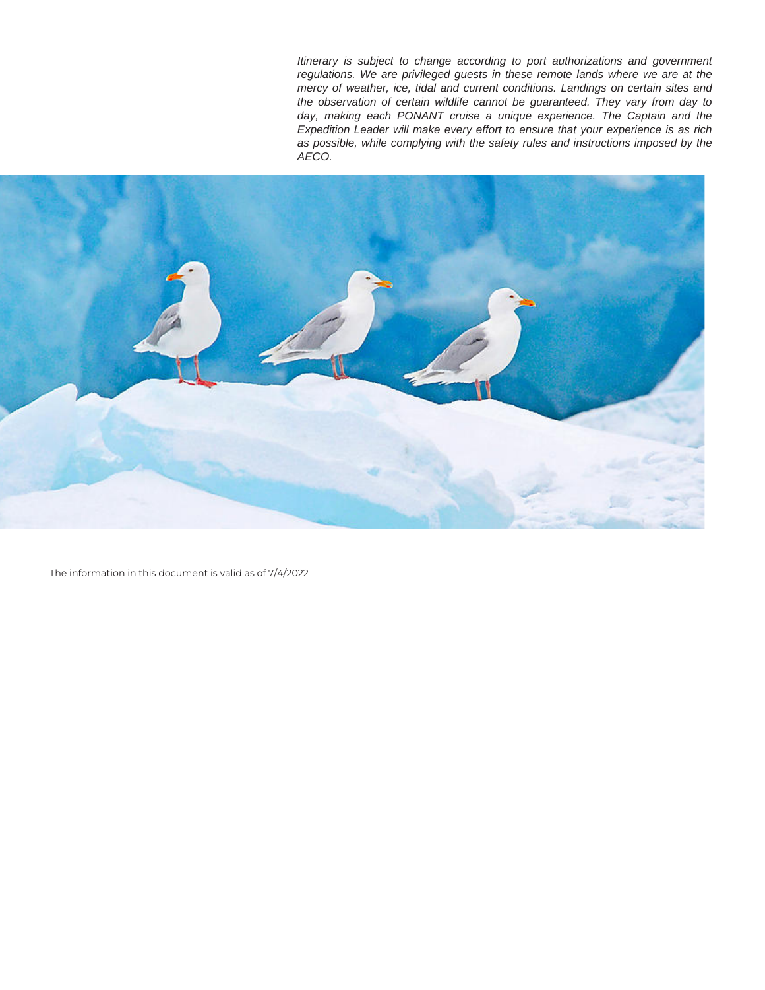Itinerary is subject to change according to port authorizations and government regulations. We are privileged guests in these remote lands where we are at the mercy of weather, ice, tidal and current conditions. Landings on certain sites and the observation of certain wildlife cannot be guaranteed. They vary from day to day, making each PONANT cruise a unique experience. The Captain and the Expedition Leader will make every effort to ensure that your experience is as rich as possible, while complying with the safety rules and instructions imposed by the AECO.



The information in this document is valid as of 7/4/2022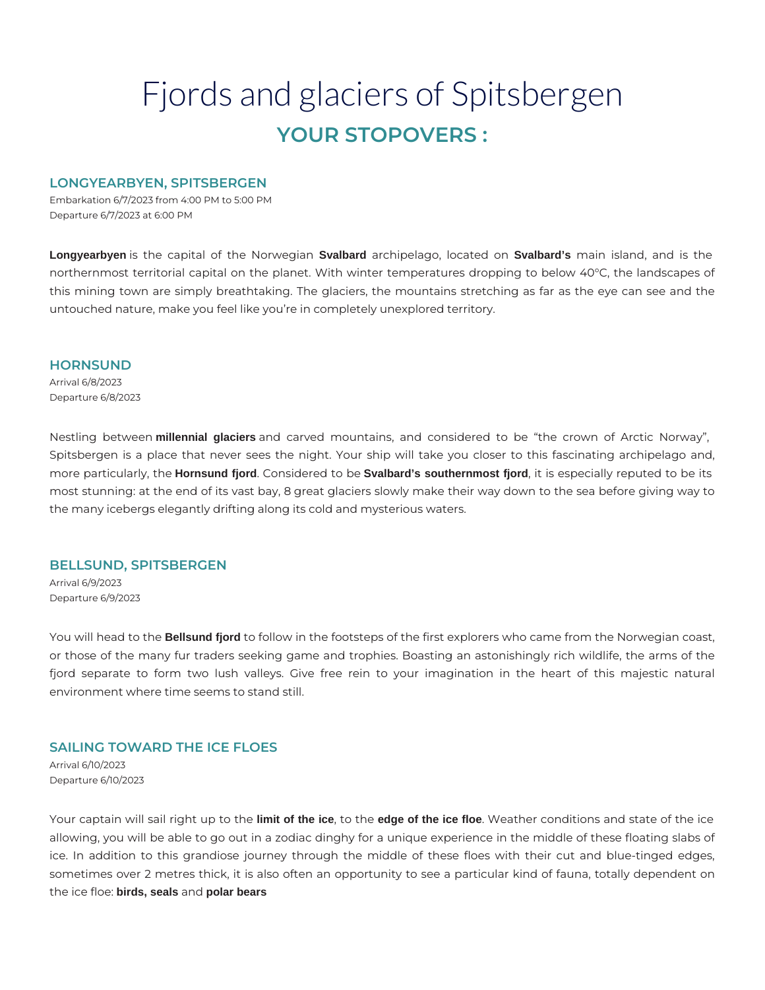# Fjords and glaciers of Spitsbergen **YOUR STOPOVERS :**

# **LONGYEARBYEN, SPITSBERGEN**

Embarkation 6/7/2023 from 4:00 PM to 5:00 PM Departure 6/7/2023 at 6:00 PM

**Longyearbyen** is the capital of the Norwegian **Svalbard** archipelago, located on **Svalbard's** main island, and is the northernmost territorial capital on the planet. With winter temperatures dropping to below 40°C, the landscapes of this mining town are simply breathtaking. The glaciers, the mountains stretching as far as the eye can see and the untouched nature, make you feel like you're in completely unexplored territory.

#### **HORNSUND**

Arrival 6/8/2023 Departure 6/8/2023

Nestling between **millennial glaciers** and carved mountains, and considered to be "the crown of Arctic Norway", Spitsbergen is a place that never sees the night. Your ship will take you closer to this fascinating archipelago and, more particularly, the **Hornsund fjord**. Considered to be **Svalbard's southernmost fjord**, it is especially reputed to be its most stunning: at the end of its vast bay, 8 great glaciers slowly make their way down to the sea before giving way to the many icebergs elegantly drifting along its cold and mysterious waters.

#### **BELLSUND, SPITSBERGEN**

Arrival 6/9/2023 Departure 6/9/2023

You will head to the **Bellsund fjord** to follow in the footsteps of the first explorers who came from the Norwegian coast, or those of the many fur traders seeking game and trophies. Boasting an astonishingly rich wildlife, the arms of the fjord separate to form two lush valleys. Give free rein to your imagination in the heart of this majestic natural environment where time seems to stand still.

# **SAILING TOWARD THE ICE FLOES**

Arrival 6/10/2023 Departure 6/10/2023

Your captain will sail right up to the **limit of the ice**, to the **edge of the ice floe**. Weather conditions and state of the ice allowing, you will be able to go out in a zodiac dinghy for a unique experience in the middle of these floating slabs of ice. In addition to this grandiose journey through the middle of these floes with their cut and blue-tinged edges, sometimes over 2 metres thick, it is also often an opportunity to see a particular kind of fauna, totally dependent on the ice floe: **birds, seals** and **polar bears**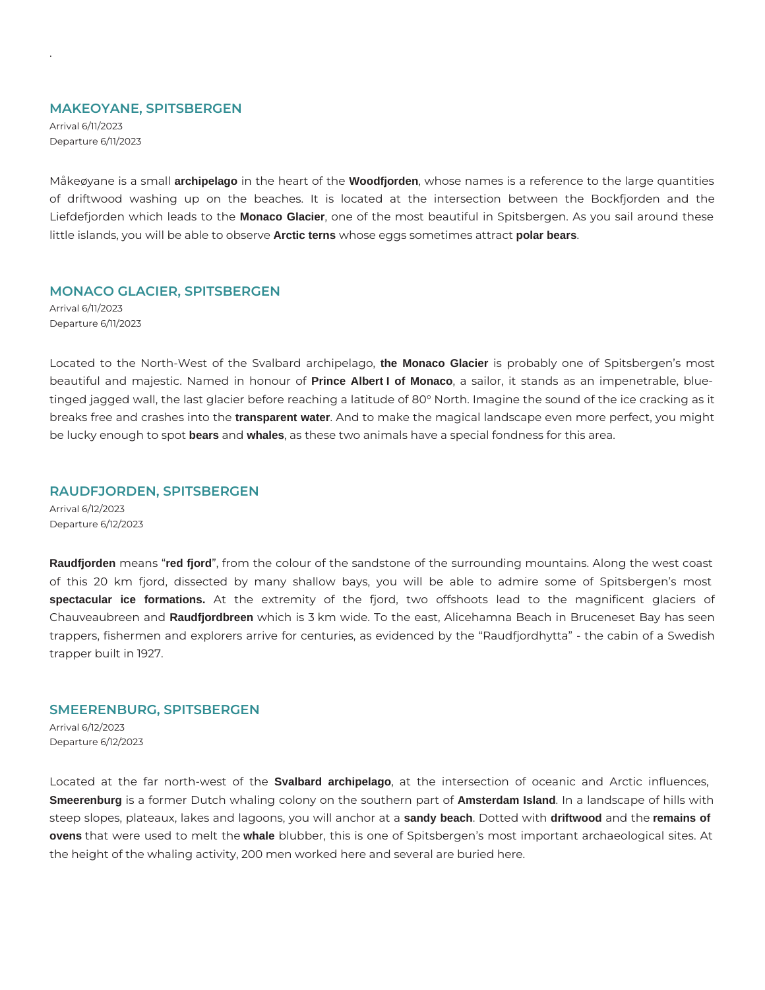#### **MAKEOYANE, SPITSBERGEN**

Arrival 6/11/2023 Departure 6/11/2023

.

Måkeøyane is a small **archipelago** in the heart of the **Woodfjorden**, whose names is a reference to the large quantities of driftwood washing up on the beaches. It is located at the intersection between the Bockfjorden and the Liefdefjorden which leads to the **Monaco Glacier**, one of the most beautiful in Spitsbergen. As you sail around these little islands, you will be able to observe **Arctic terns** whose eggs sometimes attract **polar bears**.

#### **MONACO GLACIER, SPITSBERGEN**

Arrival 6/11/2023 Departure 6/11/2023

Located to the North-West of the Svalbard archipelago, **the Monaco Glacier** is probably one of Spitsbergen's most beautiful and majestic. Named in honour of **Prince Albert I of Monaco**, a sailor, it stands as an impenetrable, bluetinged jagged wall, the last glacier before reaching a latitude of 80° North. Imagine the sound of the ice cracking as it breaks free and crashes into the **transparent water**. And to make the magical landscape even more perfect, you might be lucky enough to spot **bears** and **whales**, as these two animals have a special fondness for this area.

# **RAUDFJORDEN, SPITSBERGEN**

Arrival 6/12/2023 Departure 6/12/2023

**Raudfjorden** means "**red fjord**", from the colour of the sandstone of the surrounding mountains. Along the west coast of this 20 km fjord, dissected by many shallow bays, you will be able to admire some of Spitsbergen's most **spectacular ice formations.** At the extremity of the fjord, two offshoots lead to the magnificent glaciers of Chauveaubreen and **Raudfjordbreen** which is 3 km wide. To the east, Alicehamna Beach in Bruceneset Bay has seen trappers, fishermen and explorers arrive for centuries, as evidenced by the "Raudfjordhytta" - the cabin of a Swedish trapper built in 1927.

#### **SMEERENBURG, SPITSBERGEN**

Arrival 6/12/2023 Departure 6/12/2023

Located at the far north-west of the **Svalbard archipelago**, at the intersection of oceanic and Arctic influences, **Smeerenburg** is a former Dutch whaling colony on the southern part of **Amsterdam Island**. In a landscape of hills with steep slopes, plateaux, lakes and lagoons, you will anchor at a **sandy beach**. Dotted with **driftwood** and the **remains of ovens** that were used to melt the **whale** blubber, this is one of Spitsbergen's most important archaeological sites. At the height of the whaling activity, 200 men worked here and several are buried here.